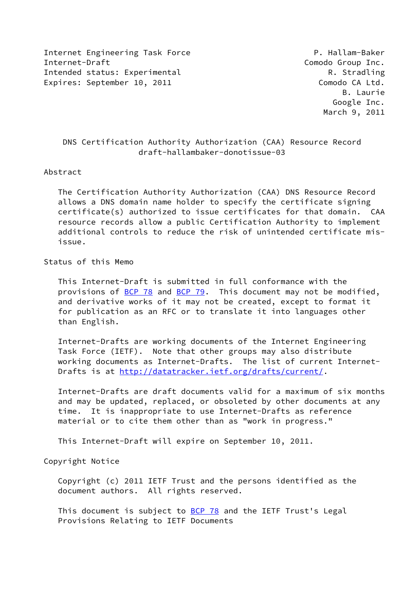Internet Engineering Task Force **P. Hallam-Baker** Internet-Draft **Comodo Group Inc.** Intended status: Experimental Allen R. Stradling Expires: September 10, 2011 Comodo CA Ltd.

# DNS Certification Authority Authorization (CAA) Resource Record draft-hallambaker-donotissue-03

#### Abstract

 The Certification Authority Authorization (CAA) DNS Resource Record allows a DNS domain name holder to specify the certificate signing certificate(s) authorized to issue certificates for that domain. CAA resource records allow a public Certification Authority to implement additional controls to reduce the risk of unintended certificate mis issue.

# Status of this Memo

 This Internet-Draft is submitted in full conformance with the provisions of [BCP 78](https://datatracker.ietf.org/doc/pdf/bcp78) and [BCP 79](https://datatracker.ietf.org/doc/pdf/bcp79). This document may not be modified, and derivative works of it may not be created, except to format it for publication as an RFC or to translate it into languages other than English.

 Internet-Drafts are working documents of the Internet Engineering Task Force (IETF). Note that other groups may also distribute working documents as Internet-Drafts. The list of current Internet Drafts is at<http://datatracker.ietf.org/drafts/current/>.

 Internet-Drafts are draft documents valid for a maximum of six months and may be updated, replaced, or obsoleted by other documents at any time. It is inappropriate to use Internet-Drafts as reference material or to cite them other than as "work in progress."

This Internet-Draft will expire on September 10, 2011.

## Copyright Notice

 Copyright (c) 2011 IETF Trust and the persons identified as the document authors. All rights reserved.

This document is subject to **[BCP 78](https://datatracker.ietf.org/doc/pdf/bcp78)** and the IETF Trust's Legal Provisions Relating to IETF Documents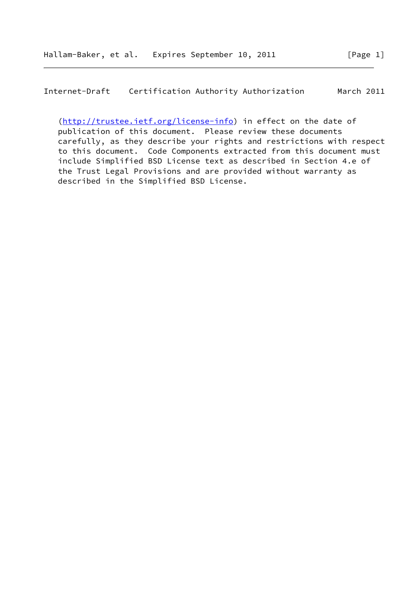Internet-Draft Certification Authority Authorization March 2011

[\(http://trustee.ietf.org/license-info](http://trustee.ietf.org/license-info)) in effect on the date of publication of this document. Please review these documents carefully, as they describe your rights and restrictions with respect to this document. Code Components extracted from this document must include Simplified BSD License text as described in Section 4.e of the Trust Legal Provisions and are provided without warranty as described in the Simplified BSD License.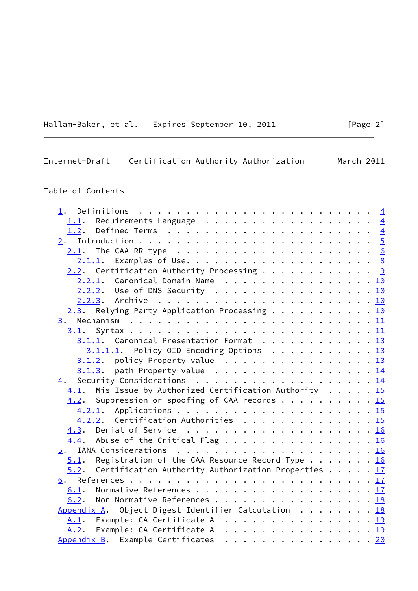Hallam-Baker, et al. Expires September 10, 2011 [Page 2]

# Internet-Draft Certification Authority Authorization March 2011

# Table of Contents

| 1.                                                                                        |  |  |                |
|-------------------------------------------------------------------------------------------|--|--|----------------|
| Requirements Language<br>1.1.                                                             |  |  | $\overline{4}$ |
| 1.2.                                                                                      |  |  | $\overline{4}$ |
|                                                                                           |  |  |                |
|                                                                                           |  |  |                |
|                                                                                           |  |  |                |
| $2.2.$ Certification Authority Processing 9                                               |  |  |                |
| 2.2.1. Canonical Domain Name 10                                                           |  |  |                |
| 2.2.2. Use of DNS Security 10                                                             |  |  |                |
|                                                                                           |  |  |                |
| 2.3. Relying Party Application Processing 10                                              |  |  |                |
|                                                                                           |  |  |                |
|                                                                                           |  |  |                |
| $3.1.1$ . Canonical Presentation Format 13                                                |  |  |                |
| $3.1.1.1.$ Policy OID Encoding Options 13                                                 |  |  |                |
| $3.1.2$ . policy Property value 13                                                        |  |  |                |
| $3.1.3$ . path Property value 14                                                          |  |  |                |
| 4. Security Considerations 14                                                             |  |  |                |
| $4.1$ . Mis-Issue by Authorized Certification Authority 15                                |  |  |                |
| 4.2. Suppression or spoofing of CAA records 15                                            |  |  |                |
|                                                                                           |  |  |                |
| 4.2.2. Certification Authorities 15                                                       |  |  |                |
|                                                                                           |  |  |                |
|                                                                                           |  |  |                |
|                                                                                           |  |  |                |
| Registration of the CAA Resource Record Type 16<br>5.1.                                   |  |  |                |
| Certification Authority Authorization Properties $\ldots$ $\ldots$ $\frac{17}{2}$<br>5.2. |  |  |                |
|                                                                                           |  |  |                |
| 6.1. Normative References 17                                                              |  |  |                |
| Non Normative References 18<br>6.2.                                                       |  |  |                |
| Appendix A. Object Digest Identifier Calculation 18                                       |  |  |                |
| A.1. Example: CA Certificate A 19                                                         |  |  |                |
| A.2. Example: CA Certificate A 19                                                         |  |  |                |
| Appendix B. Example Certificates 20                                                       |  |  |                |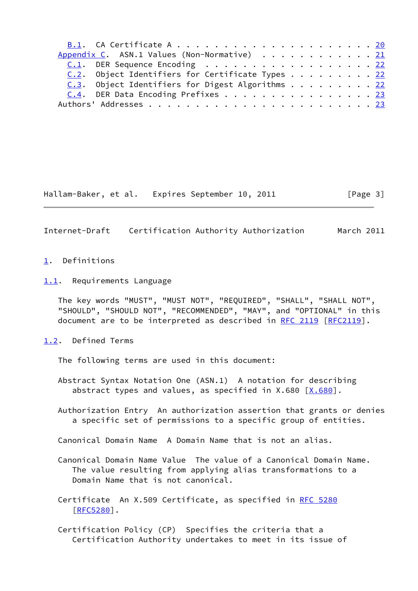|  | Appendix C. ASN.1 Values (Non-Normative) 21      |  |  |  |  |  |
|--|--------------------------------------------------|--|--|--|--|--|
|  | C.1. DER Sequence Encoding 22                    |  |  |  |  |  |
|  | C.2. Object Identifiers for Certificate Types 22 |  |  |  |  |  |
|  | C.3. Object Identifiers for Digest Algorithms 22 |  |  |  |  |  |
|  | C.4. DER Data Encoding Prefixes 23               |  |  |  |  |  |
|  |                                                  |  |  |  |  |  |

Hallam-Baker, et al. Expires September 10, 2011 [Page 3]

<span id="page-3-1"></span>Internet-Draft Certification Authority Authorization March 2011

#### <span id="page-3-0"></span>[1](#page-3-0). Definitions

<span id="page-3-2"></span>[1.1](#page-3-2). Requirements Language

 The key words "MUST", "MUST NOT", "REQUIRED", "SHALL", "SHALL NOT", "SHOULD", "SHOULD NOT", "RECOMMENDED", "MAY", and "OPTIONAL" in this document are to be interpreted as described in [RFC 2119 \[RFC2119](https://datatracker.ietf.org/doc/pdf/rfc2119)].

<span id="page-3-3"></span>[1.2](#page-3-3). Defined Terms

The following terms are used in this document:

- Abstract Syntax Notation One (ASN.1) A notation for describing abstract types and values, as specified in X.680  $[X.680]$  $[X.680]$ .
- Authorization Entry An authorization assertion that grants or denies a specific set of permissions to a specific group of entities.

Canonical Domain Name A Domain Name that is not an alias.

 Canonical Domain Name Value The value of a Canonical Domain Name. The value resulting from applying alias transformations to a Domain Name that is not canonical.

 Certificate An X.509 Certificate, as specified in [RFC 5280](https://datatracker.ietf.org/doc/pdf/rfc5280) [[RFC5280\]](https://datatracker.ietf.org/doc/pdf/rfc5280).

 Certification Policy (CP) Specifies the criteria that a Certification Authority undertakes to meet in its issue of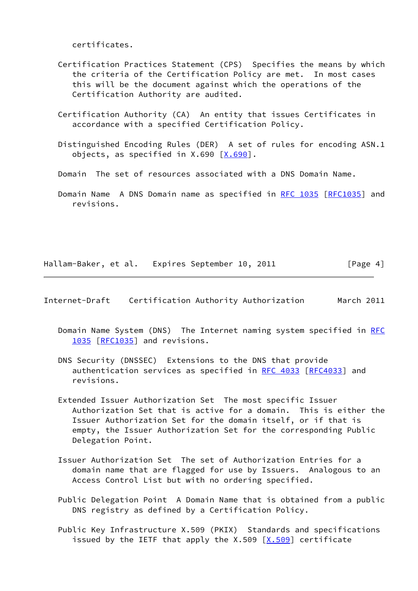certificates.

- Certification Practices Statement (CPS) Specifies the means by which the criteria of the Certification Policy are met. In most cases this will be the document against which the operations of the Certification Authority are audited.
- Certification Authority (CA) An entity that issues Certificates in accordance with a specified Certification Policy.
- Distinguished Encoding Rules (DER) A set of rules for encoding ASN.1 objects, as specified in  $X.690$   $[X.690]$  $[X.690]$ .
- Domain The set of resources associated with a DNS Domain Name.
- Domain Name A DNS Domain name as specified in [RFC 1035 \[RFC1035](https://datatracker.ietf.org/doc/pdf/rfc1035)] and revisions.

Hallam-Baker, et al. Expires September 10, 2011 [Page 4]

<span id="page-4-0"></span>Internet-Draft Certification Authority Authorization March 2011

- Domain Name System (DNS) The Internet naming system specified in [RFC](https://datatracker.ietf.org/doc/pdf/rfc1035) [1035 \[RFC1035](https://datatracker.ietf.org/doc/pdf/rfc1035)] and revisions.
- DNS Security (DNSSEC) Extensions to the DNS that provide authentication services as specified in [RFC 4033 \[RFC4033](https://datatracker.ietf.org/doc/pdf/rfc4033)] and revisions.
- Extended Issuer Authorization Set The most specific Issuer Authorization Set that is active for a domain. This is either the Issuer Authorization Set for the domain itself, or if that is empty, the Issuer Authorization Set for the corresponding Public Delegation Point.
- Issuer Authorization Set The set of Authorization Entries for a domain name that are flagged for use by Issuers. Analogous to an Access Control List but with no ordering specified.
- Public Delegation Point A Domain Name that is obtained from a public DNS registry as defined by a Certification Policy.
- Public Key Infrastructure X.509 (PKIX) Standards and specifications issued by the IETF that apply the X.509  $[X.509]$  $[X.509]$  certificate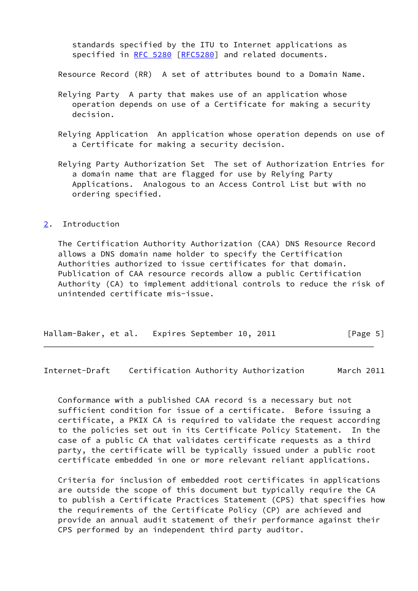standards specified by the ITU to Internet applications as specified in [RFC 5280](https://datatracker.ietf.org/doc/pdf/rfc5280) [\[RFC5280](https://datatracker.ietf.org/doc/pdf/rfc5280)] and related documents.

Resource Record (RR) A set of attributes bound to a Domain Name.

- Relying Party A party that makes use of an application whose operation depends on use of a Certificate for making a security decision.
- Relying Application An application whose operation depends on use of a Certificate for making a security decision.
- Relying Party Authorization Set The set of Authorization Entries for a domain name that are flagged for use by Relying Party Applications. Analogous to an Access Control List but with no ordering specified.

# <span id="page-5-0"></span>[2](#page-5-0). Introduction

 The Certification Authority Authorization (CAA) DNS Resource Record allows a DNS domain name holder to specify the Certification Authorities authorized to issue certificates for that domain. Publication of CAA resource records allow a public Certification Authority (CA) to implement additional controls to reduce the risk of unintended certificate mis-issue.

|  | Hallam-Baker, et al. Expires September 10, 2011 | [Page 5] |
|--|-------------------------------------------------|----------|
|--|-------------------------------------------------|----------|

<span id="page-5-1"></span>Internet-Draft Certification Authority Authorization March 2011

 Conformance with a published CAA record is a necessary but not sufficient condition for issue of a certificate. Before issuing a certificate, a PKIX CA is required to validate the request according to the policies set out in its Certificate Policy Statement. In the case of a public CA that validates certificate requests as a third party, the certificate will be typically issued under a public root certificate embedded in one or more relevant reliant applications.

 Criteria for inclusion of embedded root certificates in applications are outside the scope of this document but typically require the CA to publish a Certificate Practices Statement (CPS) that specifies how the requirements of the Certificate Policy (CP) are achieved and provide an annual audit statement of their performance against their CPS performed by an independent third party auditor.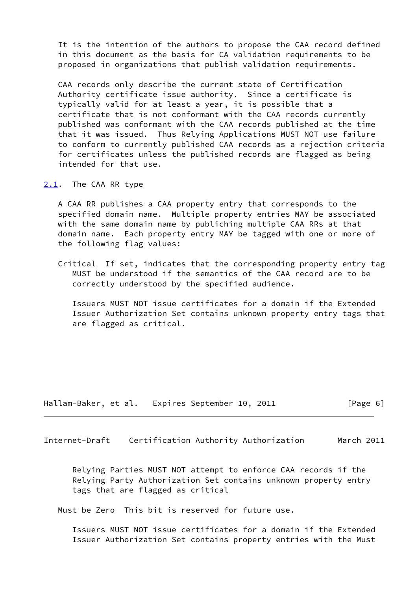It is the intention of the authors to propose the CAA record defined in this document as the basis for CA validation requirements to be proposed in organizations that publish validation requirements.

 CAA records only describe the current state of Certification Authority certificate issue authority. Since a certificate is typically valid for at least a year, it is possible that a certificate that is not conformant with the CAA records currently published was conformant with the CAA records published at the time that it was issued. Thus Relying Applications MUST NOT use failure to conform to currently published CAA records as a rejection criteria for certificates unless the published records are flagged as being intended for that use.

#### <span id="page-6-0"></span>[2.1](#page-6-0). The CAA RR type

 A CAA RR publishes a CAA property entry that corresponds to the specified domain name. Multiple property entries MAY be associated with the same domain name by publiching multiple CAA RRs at that domain name. Each property entry MAY be tagged with one or more of the following flag values:

 Critical If set, indicates that the corresponding property entry tag MUST be understood if the semantics of the CAA record are to be correctly understood by the specified audience.

 Issuers MUST NOT issue certificates for a domain if the Extended Issuer Authorization Set contains unknown property entry tags that are flagged as critical.

Hallam-Baker, et al. Expires September 10, 2011 [Page 6]

Internet-Draft Certification Authority Authorization March 2011

 Relying Parties MUST NOT attempt to enforce CAA records if the Relying Party Authorization Set contains unknown property entry tags that are flagged as critical

Must be Zero This bit is reserved for future use.

 Issuers MUST NOT issue certificates for a domain if the Extended Issuer Authorization Set contains property entries with the Must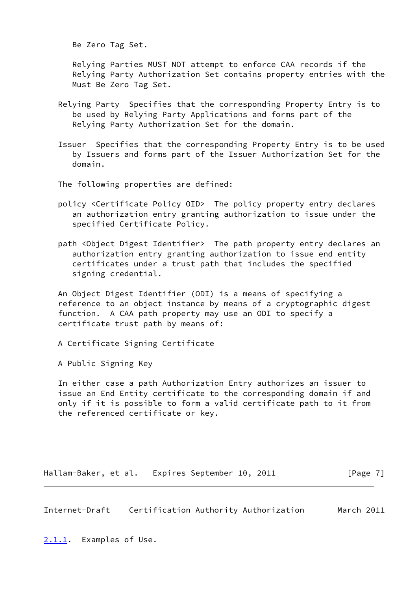Be Zero Tag Set.

 Relying Parties MUST NOT attempt to enforce CAA records if the Relying Party Authorization Set contains property entries with the Must Be Zero Tag Set.

- Relying Party Specifies that the corresponding Property Entry is to be used by Relying Party Applications and forms part of the Relying Party Authorization Set for the domain.
- Issuer Specifies that the corresponding Property Entry is to be used by Issuers and forms part of the Issuer Authorization Set for the domain.
- The following properties are defined:
- policy <Certificate Policy OID> The policy property entry declares an authorization entry granting authorization to issue under the specified Certificate Policy.
- path <Object Digest Identifier> The path property entry declares an authorization entry granting authorization to issue end entity certificates under a trust path that includes the specified signing credential.

 An Object Digest Identifier (ODI) is a means of specifying a reference to an object instance by means of a cryptographic digest function. A CAA path property may use an ODI to specify a certificate trust path by means of:

- A Certificate Signing Certificate
- A Public Signing Key

 In either case a path Authorization Entry authorizes an issuer to issue an End Entity certificate to the corresponding domain if and only if it is possible to form a valid certificate path to it from the referenced certificate or key.

Hallam-Baker, et al. Expires September 10, 2011 [Page 7]

<span id="page-7-1"></span>Internet-Draft Certification Authority Authorization March 2011

<span id="page-7-0"></span>[2.1.1](#page-7-0). Examples of Use.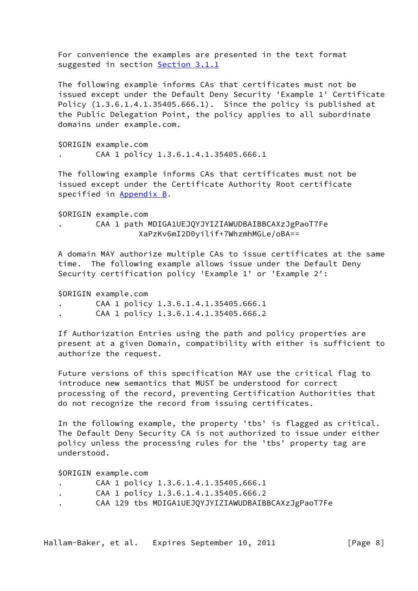For convenience the examples are presented in the text format suggested in section [Section 3.1.1](#page-13-0)

 The following example informs CAs that certificates must not be issued except under the Default Deny Security 'Example 1' Certificate Policy  $(1.3.6.1.4.1.35405.666.1)$ . Since the policy is published at the Public Delegation Point, the policy applies to all subordinate domains under example.com.

 \$ORIGIN example.com . CAA 1 policy 1.3.6.1.4.1.35405.666.1

 The following example informs CAs that certificates must not be issued except under the Certificate Authority Root certificate specified in [Appendix B.](#page-21-1)

\$ORIGIN example.com

 . CAA 1 path MDIGA1UEJQYJYIZIAWUDBAIBBCAXzJgPaoT7Fe XaPzKv6mI2D0yilif+7WhzmhMGLe/oBA==

 A domain MAY authorize multiple CAs to issue certificates at the same time. The following example allows issue under the Default Deny Security certification policy 'Example 1' or 'Example 2':

\$ORIGIN example.com

- . CAA 1 policy 1.3.6.1.4.1.35405.666.1
- . CAA 1 policy 1.3.6.1.4.1.35405.666.2

 If Authorization Entries using the path and policy properties are present at a given Domain, compatibility with either is sufficient to authorize the request.

 Future versions of this specification MAY use the critical flag to introduce new semantics that MUST be understood for correct processing of the record, preventing Certification Authorities that do not recognize the record from issuing certificates.

 In the following example, the property 'tbs' is flagged as critical. The Default Deny Security CA is not authorized to issue under either policy unless the processing rules for the 'tbs' property tag are understood.

\$ORIGIN example.com

- . CAA 1 policy 1.3.6.1.4.1.35405.666.1
- . CAA 1 policy 1.3.6.1.4.1.35405.666.2
- . CAA 129 tbs MDIGA1UEJQYJYIZIAWUDBAIBBCAXzJgPaoT7Fe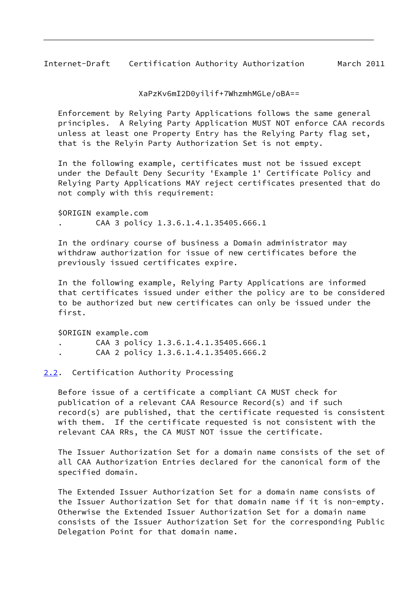<span id="page-9-1"></span>Internet-Draft Certification Authority Authorization March 2011

XaPzKv6mI2D0yilif+7WhzmhMGLe/oBA==

 Enforcement by Relying Party Applications follows the same general principles. A Relying Party Application MUST NOT enforce CAA records unless at least one Property Entry has the Relying Party flag set, that is the Relyin Party Authorization Set is not empty.

 In the following example, certificates must not be issued except under the Default Deny Security 'Example 1' Certificate Policy and Relying Party Applications MAY reject certificates presented that do not comply with this requirement:

 \$ORIGIN example.com . CAA 3 policy 1.3.6.1.4.1.35405.666.1

 In the ordinary course of business a Domain administrator may withdraw authorization for issue of new certificates before the previously issued certificates expire.

 In the following example, Relying Party Applications are informed that certificates issued under either the policy are to be considered to be authorized but new certificates can only be issued under the first.

\$ORIGIN example.com

- . CAA 3 policy 1.3.6.1.4.1.35405.666.1
- . CAA 2 policy 1.3.6.1.4.1.35405.666.2

#### <span id="page-9-0"></span>[2.2](#page-9-0). Certification Authority Processing

 Before issue of a certificate a compliant CA MUST check for publication of a relevant CAA Resource Record(s) and if such record(s) are published, that the certificate requested is consistent with them. If the certificate requested is not consistent with the relevant CAA RRs, the CA MUST NOT issue the certificate.

 The Issuer Authorization Set for a domain name consists of the set of all CAA Authorization Entries declared for the canonical form of the specified domain.

 The Extended Issuer Authorization Set for a domain name consists of the Issuer Authorization Set for that domain name if it is non-empty. Otherwise the Extended Issuer Authorization Set for a domain name consists of the Issuer Authorization Set for the corresponding Public Delegation Point for that domain name.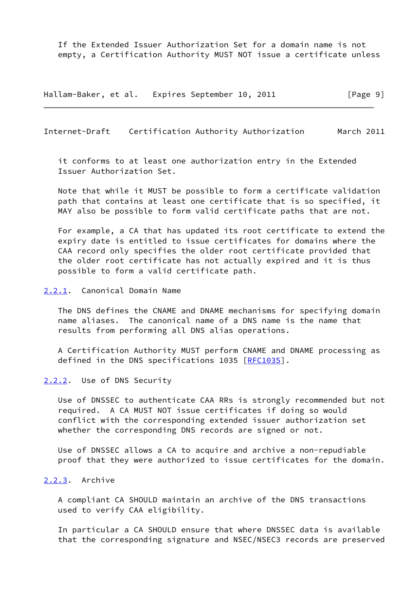If the Extended Issuer Authorization Set for a domain name is not empty, a Certification Authority MUST NOT issue a certificate unless

Hallam-Baker, et al. Expires September 10, 2011 [Page 9]

<span id="page-10-1"></span>Internet-Draft Certification Authority Authorization March 2011

 it conforms to at least one authorization entry in the Extended Issuer Authorization Set.

 Note that while it MUST be possible to form a certificate validation path that contains at least one certificate that is so specified, it MAY also be possible to form valid certificate paths that are not.

 For example, a CA that has updated its root certificate to extend the expiry date is entitled to issue certificates for domains where the CAA record only specifies the older root certificate provided that the older root certificate has not actually expired and it is thus possible to form a valid certificate path.

#### <span id="page-10-0"></span>[2.2.1](#page-10-0). Canonical Domain Name

 The DNS defines the CNAME and DNAME mechanisms for specifying domain name aliases. The canonical name of a DNS name is the name that results from performing all DNS alias operations.

 A Certification Authority MUST perform CNAME and DNAME processing as defined in the DNS specifications 1035 [\[RFC1035](https://datatracker.ietf.org/doc/pdf/rfc1035)].

#### <span id="page-10-2"></span>[2.2.2](#page-10-2). Use of DNS Security

 Use of DNSSEC to authenticate CAA RRs is strongly recommended but not required. A CA MUST NOT issue certificates if doing so would conflict with the corresponding extended issuer authorization set whether the corresponding DNS records are signed or not.

 Use of DNSSEC allows a CA to acquire and archive a non-repudiable proof that they were authorized to issue certificates for the domain.

#### <span id="page-10-3"></span>[2.2.3](#page-10-3). Archive

 A compliant CA SHOULD maintain an archive of the DNS transactions used to verify CAA eligibility.

 In particular a CA SHOULD ensure that where DNSSEC data is available that the corresponding signature and NSEC/NSEC3 records are preserved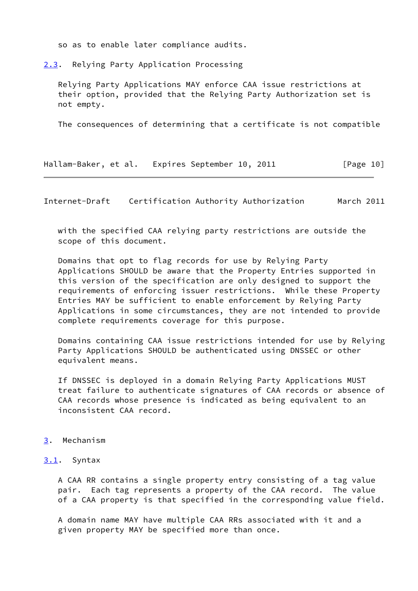so as to enable later compliance audits.

<span id="page-11-0"></span>[2.3](#page-11-0). Relying Party Application Processing

 Relying Party Applications MAY enforce CAA issue restrictions at their option, provided that the Relying Party Authorization set is not empty.

The consequences of determining that a certificate is not compatible

Hallam-Baker, et al. Expires September 10, 2011 [Page 10]

<span id="page-11-2"></span>Internet-Draft Certification Authority Authorization March 2011

 with the specified CAA relying party restrictions are outside the scope of this document.

 Domains that opt to flag records for use by Relying Party Applications SHOULD be aware that the Property Entries supported in this version of the specification are only designed to support the requirements of enforcing issuer restrictions. While these Property Entries MAY be sufficient to enable enforcement by Relying Party Applications in some circumstances, they are not intended to provide complete requirements coverage for this purpose.

 Domains containing CAA issue restrictions intended for use by Relying Party Applications SHOULD be authenticated using DNSSEC or other equivalent means.

 If DNSSEC is deployed in a domain Relying Party Applications MUST treat failure to authenticate signatures of CAA records or absence of CAA records whose presence is indicated as being equivalent to an inconsistent CAA record.

#### <span id="page-11-1"></span>[3](#page-11-1). Mechanism

#### <span id="page-11-3"></span>[3.1](#page-11-3). Syntax

 A CAA RR contains a single property entry consisting of a tag value pair. Each tag represents a property of the CAA record. The value of a CAA property is that specified in the corresponding value field.

 A domain name MAY have multiple CAA RRs associated with it and a given property MAY be specified more than once.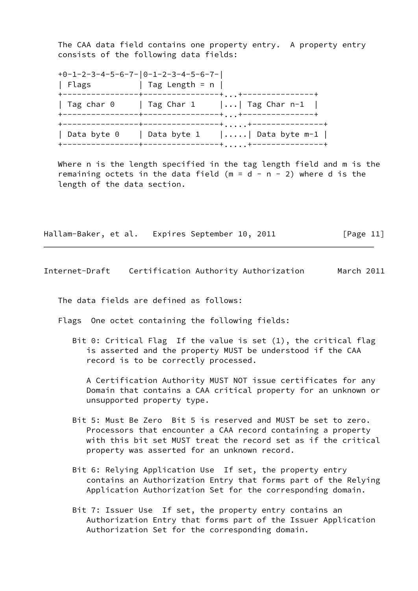The CAA data field contains one property entry. A property entry consists of the following data fields:

 +0-1-2-3-4-5-6-7-|0-1-2-3-4-5-6-7-| | Flags  $|$  Tag Length = n  $|$  +----------------+----------------+...+---------------+ | Tag char 0 | Tag Char 1 |...| Tag Char n-1 | +----------------+----------------+...+---------------+ +----------------+----------------+.....+---------------+ | Data byte 0 | Data byte 1 |.....| Data byte m-1 | +----------------+----------------+.....+---------------+

 Where n is the length specified in the tag length field and m is the remaining octets in the data field ( $m = d - n - 2$ ) where d is the length of the data section.

Hallam-Baker, et al. Expires September 10, 2011 [Page 11]

Internet-Draft Certification Authority Authorization March 2011

The data fields are defined as follows:

Flags One octet containing the following fields:

 Bit 0: Critical Flag If the value is set (1), the critical flag is asserted and the property MUST be understood if the CAA record is to be correctly processed.

 A Certification Authority MUST NOT issue certificates for any Domain that contains a CAA critical property for an unknown or unsupported property type.

- Bit 5: Must Be Zero Bit 5 is reserved and MUST be set to zero. Processors that encounter a CAA record containing a property with this bit set MUST treat the record set as if the critical property was asserted for an unknown record.
- Bit 6: Relying Application Use If set, the property entry contains an Authorization Entry that forms part of the Relying Application Authorization Set for the corresponding domain.
- Bit 7: Issuer Use If set, the property entry contains an Authorization Entry that forms part of the Issuer Application Authorization Set for the corresponding domain.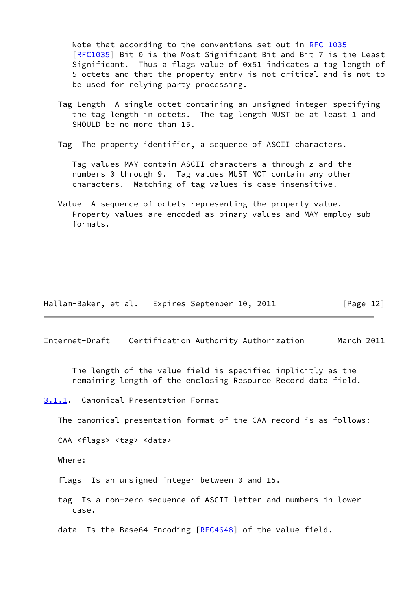Note that according to the conventions set out in [RFC 1035](https://datatracker.ietf.org/doc/pdf/rfc1035) [[RFC1035\]](https://datatracker.ietf.org/doc/pdf/rfc1035) Bit 0 is the Most Significant Bit and Bit 7 is the Least Significant. Thus a flags value of 0x51 indicates a tag length of 5 octets and that the property entry is not critical and is not to be used for relying party processing.

- Tag Length A single octet containing an unsigned integer specifying the tag length in octets. The tag length MUST be at least 1 and SHOULD be no more than 15.
- Tag The property identifier, a sequence of ASCII characters.

 Tag values MAY contain ASCII characters a through z and the numbers 0 through 9. Tag values MUST NOT contain any other characters. Matching of tag values is case insensitive.

| Hallam-Baker, et al. |  | Expires September 10, 2011 |  | [Page 12] |  |
|----------------------|--|----------------------------|--|-----------|--|
|----------------------|--|----------------------------|--|-----------|--|

<span id="page-13-1"></span>Internet-Draft Certification Authority Authorization March 2011

 The length of the value field is specified implicitly as the remaining length of the enclosing Resource Record data field.

<span id="page-13-0"></span>[3.1.1](#page-13-0). Canonical Presentation Format

The canonical presentation format of the CAA record is as follows:

CAA <flags> <tag> <data>

Where:

flags Is an unsigned integer between 0 and 15.

 tag Is a non-zero sequence of ASCII letter and numbers in lower case.

data Is the Base64 Encoding [\[RFC4648](https://datatracker.ietf.org/doc/pdf/rfc4648)] of the value field.

Value A sequence of octets representing the property value. Property values are encoded as binary values and MAY employ sub formats.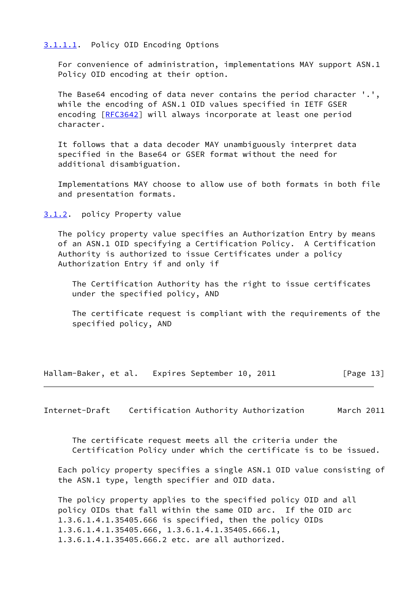#### <span id="page-14-0"></span>[3.1.1.1](#page-14-0). Policy OID Encoding Options

 For convenience of administration, implementations MAY support ASN.1 Policy OID encoding at their option.

 The Base64 encoding of data never contains the period character '.', while the encoding of ASN.1 OID values specified in IETF GSER encoding [\[RFC3642](https://datatracker.ietf.org/doc/pdf/rfc3642)] will always incorporate at least one period character.

 It follows that a data decoder MAY unambiguously interpret data specified in the Base64 or GSER format without the need for additional disambiguation.

 Implementations MAY choose to allow use of both formats in both file and presentation formats.

<span id="page-14-1"></span>[3.1.2](#page-14-1). policy Property value

 The policy property value specifies an Authorization Entry by means of an ASN.1 OID specifying a Certification Policy. A Certification Authority is authorized to issue Certificates under a policy Authorization Entry if and only if

 The Certification Authority has the right to issue certificates under the specified policy, AND

 The certificate request is compliant with the requirements of the specified policy, AND

Hallam-Baker, et al. Expires September 10, 2011 [Page 13]

<span id="page-14-2"></span>Internet-Draft Certification Authority Authorization March 2011

 The certificate request meets all the criteria under the Certification Policy under which the certificate is to be issued.

 Each policy property specifies a single ASN.1 OID value consisting of the ASN.1 type, length specifier and OID data.

 The policy property applies to the specified policy OID and all policy OIDs that fall within the same OID arc. If the OID arc 1.3.6.1.4.1.35405.666 is specified, then the policy OIDs 1.3.6.1.4.1.35405.666, 1.3.6.1.4.1.35405.666.1, 1.3.6.1.4.1.35405.666.2 etc. are all authorized.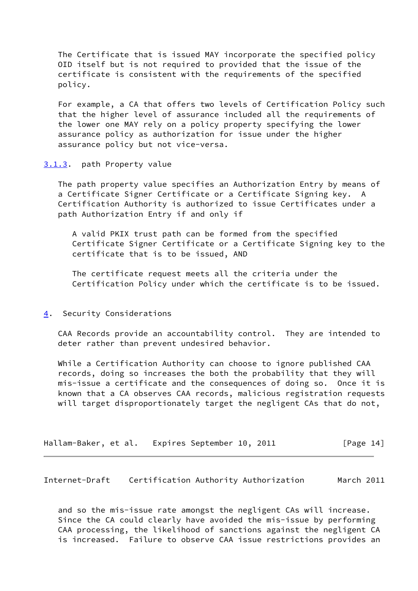The Certificate that is issued MAY incorporate the specified policy OID itself but is not required to provided that the issue of the certificate is consistent with the requirements of the specified policy.

 For example, a CA that offers two levels of Certification Policy such that the higher level of assurance included all the requirements of the lower one MAY rely on a policy property specifying the lower assurance policy as authorization for issue under the higher assurance policy but not vice-versa.

## <span id="page-15-0"></span>[3.1.3](#page-15-0). path Property value

 The path property value specifies an Authorization Entry by means of a Certificate Signer Certificate or a Certificate Signing key. A Certification Authority is authorized to issue Certificates under a path Authorization Entry if and only if

 A valid PKIX trust path can be formed from the specified Certificate Signer Certificate or a Certificate Signing key to the certificate that is to be issued, AND

 The certificate request meets all the criteria under the Certification Policy under which the certificate is to be issued.

### <span id="page-15-1"></span>[4](#page-15-1). Security Considerations

 CAA Records provide an accountability control. They are intended to deter rather than prevent undesired behavior.

 While a Certification Authority can choose to ignore published CAA records, doing so increases the both the probability that they will mis-issue a certificate and the consequences of doing so. Once it is known that a CA observes CAA records, malicious registration requests will target disproportionately target the negligent CAs that do not,

| Hallam-Baker, et al. | Expires September 10, 2011 |  | [Page 14] |
|----------------------|----------------------------|--|-----------|
|----------------------|----------------------------|--|-----------|

<span id="page-15-2"></span>Internet-Draft Certification Authority Authorization March 2011

 and so the mis-issue rate amongst the negligent CAs will increase. Since the CA could clearly have avoided the mis-issue by performing CAA processing, the likelihood of sanctions against the negligent CA is increased. Failure to observe CAA issue restrictions provides an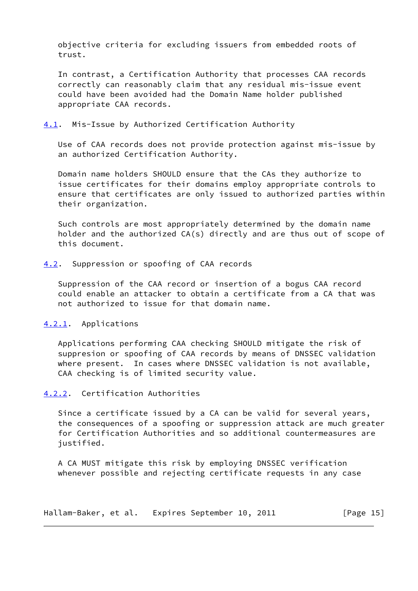objective criteria for excluding issuers from embedded roots of trust.

 In contrast, a Certification Authority that processes CAA records correctly can reasonably claim that any residual mis-issue event could have been avoided had the Domain Name holder published appropriate CAA records.

#### <span id="page-16-0"></span>[4.1](#page-16-0). Mis-Issue by Authorized Certification Authority

 Use of CAA records does not provide protection against mis-issue by an authorized Certification Authority.

 Domain name holders SHOULD ensure that the CAs they authorize to issue certificates for their domains employ appropriate controls to ensure that certificates are only issued to authorized parties within their organization.

 Such controls are most appropriately determined by the domain name holder and the authorized CA(s) directly and are thus out of scope of this document.

### <span id="page-16-1"></span>[4.2](#page-16-1). Suppression or spoofing of CAA records

 Suppression of the CAA record or insertion of a bogus CAA record could enable an attacker to obtain a certificate from a CA that was not authorized to issue for that domain name.

# <span id="page-16-2"></span>[4.2.1](#page-16-2). Applications

 Applications performing CAA checking SHOULD mitigate the risk of suppresion or spoofing of CAA records by means of DNSSEC validation where present. In cases where DNSSEC validation is not available, CAA checking is of limited security value.

### <span id="page-16-3"></span>[4.2.2](#page-16-3). Certification Authorities

 Since a certificate issued by a CA can be valid for several years, the consequences of a spoofing or suppression attack are much greater for Certification Authorities and so additional countermeasures are justified.

 A CA MUST mitigate this risk by employing DNSSEC verification whenever possible and rejecting certificate requests in any case

Hallam-Baker, et al. Expires September 10, 2011 [Page 15]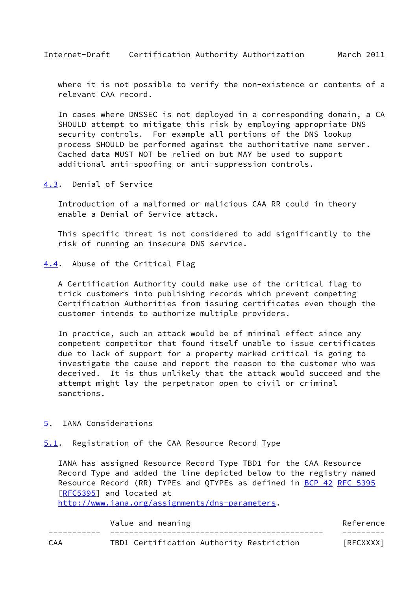<span id="page-17-1"></span> where it is not possible to verify the non-existence or contents of a relevant CAA record.

 In cases where DNSSEC is not deployed in a corresponding domain, a CA SHOULD attempt to mitigate this risk by employing appropriate DNS security controls. For example all portions of the DNS lookup process SHOULD be performed against the authoritative name server. Cached data MUST NOT be relied on but MAY be used to support additional anti-spoofing or anti-suppression controls.

<span id="page-17-0"></span>[4.3](#page-17-0). Denial of Service

 Introduction of a malformed or malicious CAA RR could in theory enable a Denial of Service attack.

 This specific threat is not considered to add significantly to the risk of running an insecure DNS service.

<span id="page-17-2"></span>[4.4](#page-17-2). Abuse of the Critical Flag

 A Certification Authority could make use of the critical flag to trick customers into publishing records which prevent competing Certification Authorities from issuing certificates even though the customer intends to authorize multiple providers.

 In practice, such an attack would be of minimal effect since any competent competitor that found itself unable to issue certificates due to lack of support for a property marked critical is going to investigate the cause and report the reason to the customer who was deceived. It is thus unlikely that the attack would succeed and the attempt might lay the perpetrator open to civil or criminal sanctions.

- <span id="page-17-3"></span>[5](#page-17-3). IANA Considerations
- <span id="page-17-4"></span>[5.1](#page-17-4). Registration of the CAA Resource Record Type

 IANA has assigned Resource Record Type TBD1 for the CAA Resource Record Type and added the line depicted below to the registry named Resource Record (RR) TYPEs and QTYPEs as defined in [BCP 42](https://datatracker.ietf.org/doc/pdf/bcp42) [RFC 5395](https://datatracker.ietf.org/doc/pdf/rfc5395) [\[RFC5395](https://datatracker.ietf.org/doc/pdf/rfc5395)] and located at

<http://www.iana.org/assignments/dns-parameters>.

|     | Value and meaning                        | Reference |
|-----|------------------------------------------|-----------|
|     |                                          |           |
| CAA | TBD1 Certification Authority Restriction | [RFCXXXX] |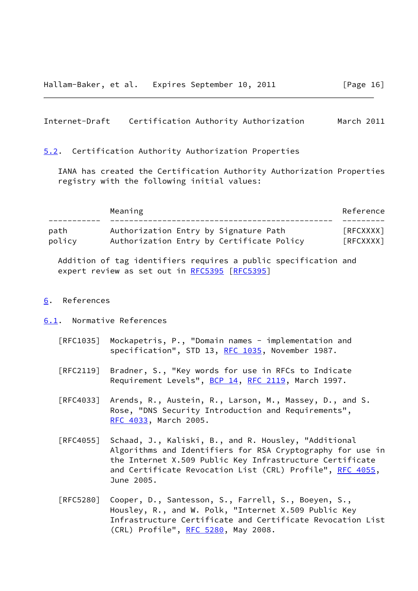#### <span id="page-18-1"></span>Internet-Draft Certification Authority Authorization March 2011

#### <span id="page-18-0"></span>[5.2](#page-18-0). Certification Authority Authorization Properties

 IANA has created the Certification Authority Authorization Properties registry with the following initial values:

|                | Meaning                                                                            | Reference            |
|----------------|------------------------------------------------------------------------------------|----------------------|
|                |                                                                                    |                      |
| path<br>policy | Authorization Entry by Signature Path<br>Authorization Entry by Certificate Policy | [REXXXX]<br>[REXXXX] |

 Addition of tag identifiers requires a public specification and expert review as set out in [RFC5395 \[RFC5395](https://datatracker.ietf.org/doc/pdf/rfc5395)]

#### <span id="page-18-2"></span>[6](#page-18-2). References

#### <span id="page-18-3"></span>[6.1](#page-18-3). Normative References

- [RFC1035] Mockapetris, P., "Domain names implementation and specification", STD 13, [RFC 1035,](https://datatracker.ietf.org/doc/pdf/rfc1035) November 1987.
- [RFC2119] Bradner, S., "Key words for use in RFCs to Indicate Requirement Levels", [BCP 14](https://datatracker.ietf.org/doc/pdf/bcp14), [RFC 2119](https://datatracker.ietf.org/doc/pdf/rfc2119), March 1997.
- [RFC4033] Arends, R., Austein, R., Larson, M., Massey, D., and S. Rose, "DNS Security Introduction and Requirements", [RFC 4033,](https://datatracker.ietf.org/doc/pdf/rfc4033) March 2005.
- [RFC4055] Schaad, J., Kaliski, B., and R. Housley, "Additional Algorithms and Identifiers for RSA Cryptography for use in the Internet X.509 Public Key Infrastructure Certificate and Certificate Revocation List (CRL) Profile", [RFC 4055,](https://datatracker.ietf.org/doc/pdf/rfc4055) June 2005.
- [RFC5280] Cooper, D., Santesson, S., Farrell, S., Boeyen, S., Housley, R., and W. Polk, "Internet X.509 Public Key Infrastructure Certificate and Certificate Revocation List (CRL) Profile", [RFC 5280,](https://datatracker.ietf.org/doc/pdf/rfc5280) May 2008.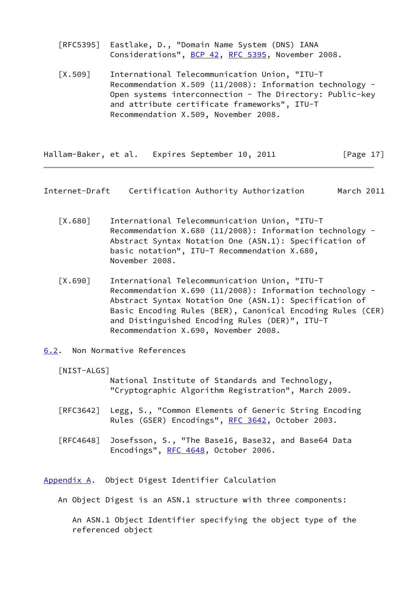[RFC5395] Eastlake, D., "Domain Name System (DNS) IANA Considerations", [BCP 42](https://datatracker.ietf.org/doc/pdf/bcp42), [RFC 5395,](https://datatracker.ietf.org/doc/pdf/rfc5395) November 2008.

<span id="page-19-5"></span> [X.509] International Telecommunication Union, "ITU-T Recommendation X.509 (11/2008): Information technology - Open systems interconnection - The Directory: Public-key and attribute certificate frameworks", ITU-T Recommendation X.509, November 2008.

Hallam-Baker, et al. Expires September 10, 2011 [Page 17]

<span id="page-19-1"></span>Internet-Draft Certification Authority Authorization March 2011

- <span id="page-19-3"></span> [X.680] International Telecommunication Union, "ITU-T Recommendation X.680 (11/2008): Information technology - Abstract Syntax Notation One (ASN.1): Specification of basic notation", ITU-T Recommendation X.680, November 2008.
- <span id="page-19-4"></span> [X.690] International Telecommunication Union, "ITU-T Recommendation X.690 (11/2008): Information technology - Abstract Syntax Notation One (ASN.1): Specification of Basic Encoding Rules (BER), Canonical Encoding Rules (CER) and Distinguished Encoding Rules (DER)", ITU-T Recommendation X.690, November 2008.
- <span id="page-19-6"></span><span id="page-19-0"></span>[6.2](#page-19-0). Non Normative References
	- [NIST-ALGS]

 National Institute of Standards and Technology, "Cryptographic Algorithm Registration", March 2009.

- [RFC3642] Legg, S., "Common Elements of Generic String Encoding Rules (GSER) Encodings", [RFC 3642,](https://datatracker.ietf.org/doc/pdf/rfc3642) October 2003.
- [RFC4648] Josefsson, S., "The Base16, Base32, and Base64 Data Encodings", [RFC 4648,](https://datatracker.ietf.org/doc/pdf/rfc4648) October 2006.

<span id="page-19-2"></span>[Appendix A.](#page-19-2) Object Digest Identifier Calculation

An Object Digest is an ASN.1 structure with three components:

 An ASN.1 Object Identifier specifying the object type of the referenced object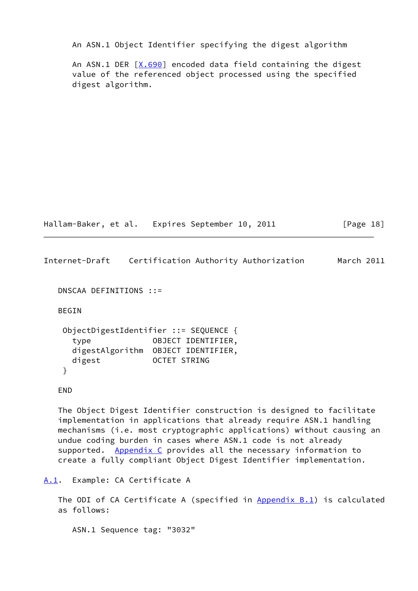An ASN.1 Object Identifier specifying the digest algorithm

 An ASN.1 DER [\[X.690](#page-19-4)] encoded data field containing the digest value of the referenced object processed using the specified digest algorithm.

Hallam-Baker, et al. Expires September 10, 2011 [Page 18]

<span id="page-20-1"></span>Internet-Draft Certification Authority Authorization March 2011

DNSCAA DEFINITIONS ::=

BEGIN

 ObjectDigestIdentifier ::= SEQUENCE { type OBJECT IDENTIFIER, digestAlgorithm OBJECT IDENTIFIER, digest OCTET STRING }

END

 The Object Digest Identifier construction is designed to facilitate implementation in applications that already require ASN.1 handling mechanisms (i.e. most cryptographic applications) without causing an undue coding burden in cases where ASN.1 code is not already supported. [Appendix C](#page-23-0) provides all the necessary information to create a fully compliant Object Digest Identifier implementation.

<span id="page-20-0"></span>[A.1](#page-20-0). Example: CA Certificate A

The ODI of CA Certificate A (specified in [Appendix B.1](#page-21-3)) is calculated as follows:

ASN.1 Sequence tag: "3032"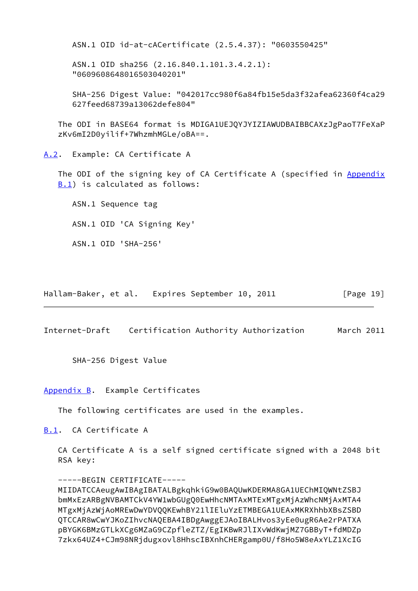ASN.1 OID id-at-cACertificate (2.5.4.37): "0603550425"

 ASN.1 OID sha256 (2.16.840.1.101.3.4.2.1): "0609608648016503040201"

 SHA-256 Digest Value: "042017cc980f6a84fb15e5da3f32afea62360f4ca29 627feed68739a13062defe804"

 The ODI in BASE64 format is MDIGA1UEJQYJYIZIAWUDBAIBBCAXzJgPaoT7FeXaP zKv6mI2D0yilif+7WhzmhMGLe/oBA==.

<span id="page-21-0"></span>[A.2](#page-21-0). Example: CA Certificate A

The ODI of the signing key of CA Certificate A (specified in [Appendix](#page-21-3) **[B.1](#page-21-3))** is calculated as follows:

 ASN.1 Sequence tag ASN.1 OID 'CA Signing Key' ASN.1 OID 'SHA-256'

Hallam-Baker, et al. Expires September 10, 2011 [Page 19]

<span id="page-21-2"></span>Internet-Draft Certification Authority Authorization March 2011

SHA-256 Digest Value

<span id="page-21-1"></span>[Appendix B.](#page-21-1) Example Certificates

The following certificates are used in the examples.

<span id="page-21-3"></span>[B.1](#page-21-3). CA Certificate A

 CA Certificate A is a self signed certificate signed with a 2048 bit RSA key:

 -----BEGIN CERTIFICATE----- MIIDATCCAeugAwIBAgIBATALBgkqhkiG9w0BAQUwKDERMA8GA1UEChMIQWNtZSBJ bmMxEzARBgNVBAMTCkV4YW1wbGUgQ0EwHhcNMTAxMTExMTgxMjAzWhcNMjAxMTA4 MTgxMjAzWjAoMREwDwYDVQQKEwhBY21lIEluYzETMBEGA1UEAxMKRXhhbXBsZSBD QTCCAR8wCwYJKoZIhvcNAQEBA4IBDgAwggEJAoIBALHvos3yEe0ugR6Ae2rPATXA pBYGK6BMzGTLkXCg6MZaG9CZpfleZTZ/EgIKBwRJlIXvWdKwjMZ7GBByT+fdMDZp 7zkx64UZ4+CJm98NRjdugxovl8HhscIBXnhCHERgamp0U/f8Ho5W8eAxYLZ1XcIG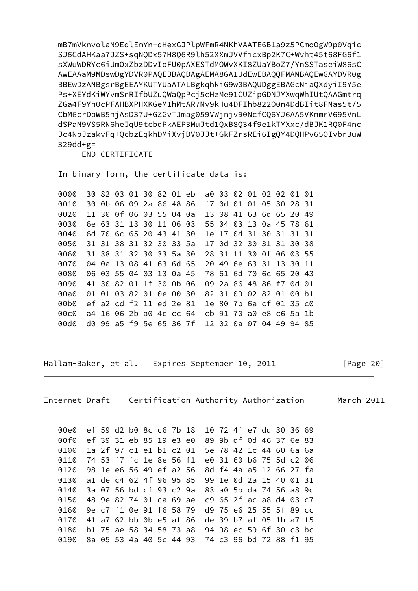mB7mVknvolaN9EqlEmYn+qHexGJPlpWFmR4NKhVAATE6B1a9z5PCmoOgW9p0Vqic SJ6CdAHKaa7JZS+sqNQDx57H8Q6R9lh52XXmJVVficxBp2K7C+Wvht45t68FG6f1 sXWuWDRYc6iUmOxZbzDDvIoFU0pAXESTdMOWvXKI8ZUaYBoZ7/YnSSTaseiW86sC AwEAAaM9MDswDgYDVR0PAQEBBAQDAgAEMA8GA1UdEwEBAQQFMAMBAQEwGAYDVR0g BBEwDzANBgsrBgEEAYKUTYUaATALBgkqhkiG9w0BAQUDggEBAGcNiaQXdyiI9Y5e Ps+XEYdKiWYvmSnRIfbUZuQWaQpPcj5cHzMe91CUZipGDNJYXwqWhIUtQAAGmtrq ZGa4F9Yh0cPFAHBXPHXKGeM1hMtAR7Mv9kHu4DFIhb822O0n4DdBIit8FNas5t/5 CbM6crDpWB5hjAsD37U+GZGvTJmag059VWjnjv90NcfCQ6YJ6AA5VKnmrV695VnL dSPaN9VS5RN6heJqU9tcbqPkAEP3MuJtd1QxB8Q34f9e1kTYXxc/dBJK1RQ0F4nc Jc4NbJzakvFq+QcbzEqkhDMiXvjDV0JJt+GkFZrsREi6IgQY4DQHPv65OIvbr3uW  $329dd+g=$ 

-----END CERTIFICATE-----

In binary form, the certificate data is:

 0000 30 82 03 01 30 82 01 eb a0 03 02 01 02 02 01 01 0010 30 0b 06 09 2a 86 48 86 f7 0d 01 01 05 30 28 31 0020 11 30 0f 06 03 55 04 0a 13 08 41 63 6d 65 20 49 0030 6e 63 31 13 30 11 06 03 55 04 03 13 0a 45 78 61 0040 6d 70 6c 65 20 43 41 30 1e 17 0d 31 30 31 31 31 0050 31 31 38 31 32 30 33 5a 17 0d 32 30 31 31 30 38 0060 31 38 31 32 30 33 5a 30 28 31 11 30 0f 06 03 55 0070 04 0a 13 08 41 63 6d 65 20 49 6e 63 31 13 30 11 0080 06 03 55 04 03 13 0a 45 78 61 6d 70 6c 65 20 43 0090 41 30 82 01 1f 30 0b 06 09 2a 86 48 86 f7 0d 01 00a0 01 01 03 82 01 0e 00 30 82 01 09 02 82 01 00 b1 00b0 ef a2 cd f2 11 ed 2e 81 1e 80 7b 6a cf 01 35 c0 00c0 a4 16 06 2b a0 4c cc 64 cb 91 70 a0 e8 c6 5a 1b 00d0 d0 99 a5 f9 5e 65 36 7f 12 02 0a 07 04 49 94 85

Hallam-Baker, et al. Expires September 10, 2011 [Page 20]

<span id="page-22-0"></span>Internet-Draft Certification Authority Authorization March 2011

 00e0 ef 59 d2 b0 8c c6 7b 18 10 72 4f e7 dd 30 36 69 00f0 ef 39 31 eb 85 19 e3 e0 89 9b df 0d 46 37 6e 83 0100 1a 2f 97 c1 e1 b1 c2 01 5e 78 42 1c 44 60 6a 6a 0110 74 53 f7 fc 1e 8e 56 f1 e0 31 60 b6 75 5d c2 06 0120 98 1e e6 56 49 ef a2 56 8d f4 4a a5 12 66 27 fa 0130 a1 de c4 62 4f 96 95 85 99 1e 0d 2a 15 40 01 31 0140 3a 07 56 bd cf 93 c2 9a 83 a0 5b da 74 56 a8 9c 0150 48 9e 82 74 01 ca 69 ae c9 65 2f ac a8 d4 03 c7 0160 9e c7 f1 0e 91 f6 58 79 d9 75 e6 25 55 5f 89 cc 0170 41 a7 62 bb 0b e5 af 86 de 39 b7 af 05 1b a7 f5 0180 b1 75 ae 58 34 58 73 a8 94 98 ec 59 6f 30 c3 bc 0190 8a 05 53 4a 40 5c 44 93 74 c3 96 bd 72 88 f1 95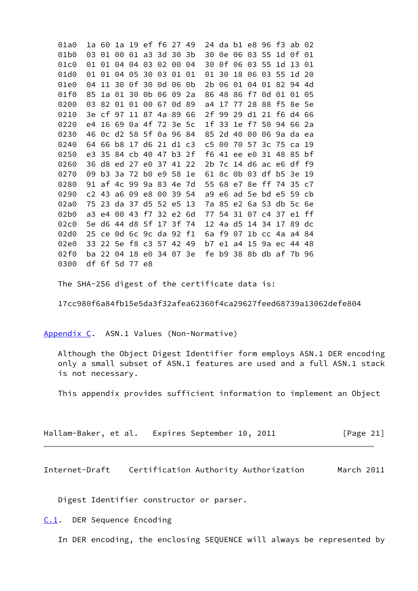01a0 1a 60 1a 19 ef f6 27 49 24 da b1 e8 96 f3 ab 02 01b0 03 01 00 01 a3 3d 30 3b 30 0e 06 03 55 1d 0f 01 01c0 01 01 04 04 03 02 00 04 30 0f 06 03 55 1d 13 01 01d0 01 01 04 05 30 03 01 01 01 30 18 06 03 55 1d 20 01e0 04 11 30 0f 30 0d 06 0b 2b 06 01 04 01 82 94 4d 01f0 85 1a 01 30 0b 06 09 2a 86 48 86 f7 0d 01 01 05 0200 03 82 01 01 00 67 0d 89 a4 17 77 28 88 f5 8e 5e 0210 3e cf 97 11 87 4a 89 66 2f 99 29 d1 21 f6 d4 66 0220 e4 16 69 0a 4f 72 3e 5c 1f 33 1e f7 50 94 66 2a 0230 46 0c d2 58 5f 0a 96 84 85 2d 40 00 06 9a da ea 0240 64 66 b8 17 d6 21 d1 c3 c5 00 70 57 3c 75 ca 19 0250 e3 35 84 cb 40 47 b3 2f f6 41 ee e0 31 48 85 bf 0260 36 d8 ed 27 e0 37 41 22 2b 7c 14 d6 ac e6 df f9 0270 09 b3 3a 72 b0 e9 58 1e 61 8c 0b 03 df b5 3e 19 0280 91 af 4c 99 9a 83 4e 7d 55 68 e7 8e ff 74 35 c7 0290 c2 43 a6 09 e8 00 39 54 a9 e6 ad 5e bd e5 59 cb 02a0 75 23 da 37 d5 52 e5 13 7a 85 e2 6a 53 db 5c 6e 02b0 a3 e4 00 43 f7 32 e2 6d 77 54 31 07 c4 37 e1 ff 02c0 5e d6 44 d8 5f 17 3f 74 12 4a d5 14 34 17 89 dc 02d0 25 ce 0d 6c 9c da 92 f1 6a f9 07 1b cc 4a a4 84 02e0 33 22 5e f8 c3 57 42 49 b7 e1 a4 15 9a ec 44 48 02f0 ba 22 04 18 e0 34 07 3e fe b9 38 8b db af 7b 96 0300 df 6f 5d 77 e8

The SHA-256 digest of the certificate data is:

17cc980f6a84fb15e5da3f32afea62360f4ca29627feed68739a13062defe804

<span id="page-23-0"></span>[Appendix C.](#page-23-0) ASN.1 Values (Non-Normative)

 Although the Object Digest Identifier form employs ASN.1 DER encoding only a small subset of ASN.1 features are used and a full ASN.1 stack is not necessary.

This appendix provides sufficient information to implement an Object

| Hallam-Baker, et al. |  | Expires September 10, 2011 |  | [Page 21] |
|----------------------|--|----------------------------|--|-----------|
|----------------------|--|----------------------------|--|-----------|

<span id="page-23-2"></span>Internet-Draft Certification Authority Authorization March 2011

Digest Identifier constructor or parser.

<span id="page-23-1"></span>[C.1](#page-23-1). DER Sequence Encoding

In DER encoding, the enclosing SEQUENCE will always be represented by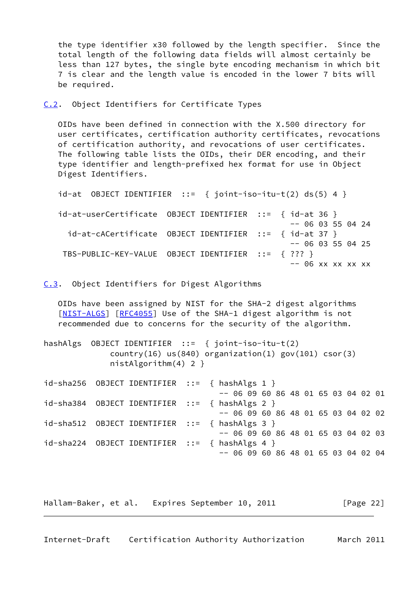the type identifier x30 followed by the length specifier. Since the total length of the following data fields will almost certainly be less than 127 bytes, the single byte encoding mechanism in which bit 7 is clear and the length value is encoded in the lower 7 bits will be required.

<span id="page-24-0"></span>[C.2](#page-24-0). Object Identifiers for Certificate Types

 OIDs have been defined in connection with the X.500 directory for user certificates, certification authority certificates, revocations of certification authority, and revocations of user certificates. The following table lists the OIDs, their DER encoding, and their type identifier and length-prefixed hex format for use in Object Digest Identifiers.

```
id-at OBJECT IDENTIFIER ::= { joint-iso-itu-t(2) ds(5) 4 }
id-at-userCertificate OBJECT IDENTIFIER ::= { id-at 36 }
                                             -- 0603550424 id-at-cACertificate OBJECT IDENTIFIER ::= { id-at 37 }
                                             - - 0603550425 TBS-PUBLIC-KEY-VALUE OBJECT IDENTIFIER ::= { ??? }
                                              -- 06 xx xx xx xx
```
<span id="page-24-1"></span>[C.3](#page-24-1). Object Identifiers for Digest Algorithms

 OIDs have been assigned by NIST for the SHA-2 digest algorithms [\[NIST-ALGS](#page-19-6)] [\[RFC4055](https://datatracker.ietf.org/doc/pdf/rfc4055)] Use of the SHA-1 digest algorithm is not recommended due to concerns for the security of the algorithm.

hashAlgs OBJECT IDENTIFIER ::= { joint-iso-itu-t(2)  $country(16)$  us(840) organization(1) gov(101) csor(3) nistAlgorithm(4) 2 }

 $id$ -sha256 OBJECT IDENTIFIER ::= { hashAlgs 1 } -- 06 09 60 86 48 01 65 03 04 02 01 id-sha384 OBJECT IDENTIFIER ::= { hashAlgs 2 } -- 06 09 60 86 48 01 65 03 04 02 02 id-sha512 OBJECT IDENTIFIER ::= { hashAlgs 3 } -- 06 09 60 86 48 01 65 03 04 02 03 id-sha224 OBJECT IDENTIFIER ::= { hashAlgs 4 } -- 06 09 60 86 48 01 65 03 04 02 04

Hallam-Baker, et al. Expires September 10, 2011 [Page 22]

```
Internet-Draft Certification Authority Authorization March 2011
```